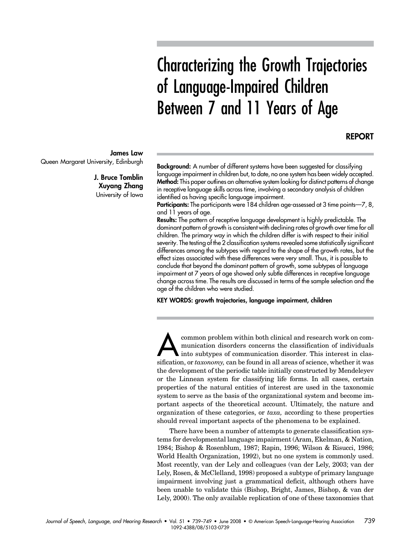# Characterizing the Growth Trajectories of Language-Impaired Children Between 7 and 11 Years of Age

#### REPORT

**Background:** A number of different systems have been suggested for classifying language impairment in children but, to date, no one system has been widely accepted. Method: This paper outlines an alternative system looking for distinct patterns of change in receptive language skills across time, involving a secondary analysis of children

identified as having specific language impairment. Participants: The participants were 184 children age-assessed at 3 time points—7, 8, and 11 years of age.

Results: The pattern of receptive language development is highly predictable. The dominant pattern of growth is consistent with declining rates of growth over time for all children. The primary way in which the children differ is with respect to their initial severity. The testing of the 2 classification systems revealed some statistically significant differences among the subtypes with regard to the shape of the growth rates, but the effect sizes associated with these differences were very small. Thus, it is possible to conclude that beyond the dominant pattern of growth, some subtypes of language impairment at 7 years of age showed only subtle differences in receptive language change across time. The results are discussed in terms of the sample selection and the age of the children who were studied.

KEY WORDS: growth trajectories, language impairment, children

common problem within both clinical and research work on communication disorders concerns the classification of individuals into subtypes of communication disorder. This interest in classification, or *taxonomy*, can be found in all areas of science, whether it was the development of the periodic table initially constructed by Mendeleyev or the Linnean system for classifying life forms. In all cases, certain properties of the natural entities of interest are used in the taxonomic system to serve as the basis of the organizational system and become important aspects of the theoretical account. Ultimately, the nature and organization of these categories, or taxa, according to these properties should reveal important aspects of the phenomena to be explained.

There have been a number of attempts to generate classification systems for developmental language impairment (Aram, Ekelman, & Nation, 1984; Bishop & Rosenblum, 1987; Rapin, 1996; Wilson & Risucci, 1986; World Health Organization, 1992), but no one system is commonly used. Most recently, van der Lely and colleagues (van der Lely, 2003; van der Lely, Rosen, & McClelland, 1998) proposed a subtype of primary language impairment involving just a grammatical deficit, although others have been unable to validate this (Bishop, Bright, James, Bishop, & van der Lely, 2000). The only available replication of one of these taxonomies that

James Law Queen Margaret University, Edinburgh

> J. Bruce Tomblin Xuyang Zhang University of Iowa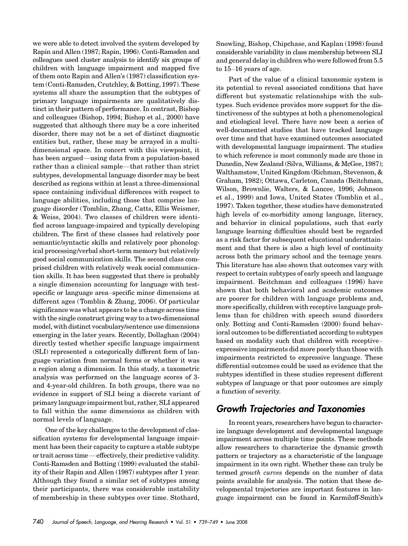we were able to detect involved the system developed by Rapin and Allen (1987; Rapin, 1996). Conti-Ramsden and colleagues used cluster analysis to identify six groups of children with language impairment and mapped five of them onto Rapin and Allen's (1987) classification system (Conti-Ramsden, Crutchley, & Botting, 1997). These systems all share the assumption that the subtypes of primary language impairments are qualitatively distinct in their pattern of performance. In contrast, Bishop and colleagues (Bishop, 1994; Bishop et al., 2000) have suggested that although there may be a core inherited disorder, there may not be a set of distinct diagnostic entities but, rather, these may be arrayed in a multidimensional space. In concert with this viewpoint, it has been argued—using data from a population-based rather than a clinical sample—that rather than strict subtypes, developmental language disorder may be best described as regions within at least a three-dimensional space containing individual differences with respect to language abilities, including those that comprise language disorder (Tomblin, Zhang, Catts, Ellis Weismer, & Weiss, 2004). Two classes of children were identified across language-impaired and typically developing children. The first of these classes had relatively poor semantic/syntactic skills and relatively poor phonological processing/verbal short-term memory but relatively good social communication skills. The second class comprised children with relatively weak social communication skills. It has been suggested that there is probably a single dimension accounting for language with testspecific or language area–specific minor dimensions at different ages (Tomblin & Zhang, 2006). Of particular significance was what appears to be a change across time with the single construct giving way to a two-dimensional model, with distinct vocabulary/sentence use dimensions emerging in the later years. Recently, Dollaghan (2004) directly tested whether specific language impairment (SLI) represented a categorically different form of language variation from normal forms or whether it was a region along a dimension. In this study, a taxometric analysis was performed on the language scores of 3 and 4-year-old children. In both groups, there was no evidence in support of SLI being a discrete variant of primary language impairment but, rather, SLI appeared to fall within the same dimensions as children with normal levels of language.

One of the key challenges to the development of classification systems for developmental language impairment has been their capacity to capture a stable subtype or trait across time—effectively, their predictive validity. Conti-Ramsden and Botting (1999) evaluated the stability of their Rapin and Allen (1987) subtypes after 1 year. Although they found a similar set of subtypes among their participants, there was considerable instability of membership in these subtypes over time. Stothard, Snowling, Bishop, Chipchase, and Kaplan (1998) found considerable variability in class membership between SLI and general delay in children who were followed from 5.5 to 15–16 years of age.

Part of the value of a clinical taxonomic system is its potential to reveal associated conditions that have different but systematic relationships with the subtypes. Such evidence provides more support for the distinctiveness of the subtypes at both a phenomenological and etiological level. There have now been a series of well-documented studies that have tracked language over time and that have examined outcomes associated with developmental language impairment. The studies to which reference is most commonly made are those in Dunedin, New Zealand (Silva, Williams, & McGee, 1987); Walthamstow, United Kingdom (Richman, Stevenson, & Graham, 1982); Ottawa, Carleton, Canada (Beitchman, Wilson, Brownlie, Walters, & Lancee, 1996; Johnson et al., 1999) and Iowa, United States (Tomblin et al., 1997). Taken together, these studies have demonstrated high levels of co-morbidity among language, literacy, and behavior in clinical populations, such that early language learning difficulties should best be regarded as a risk factor for subsequent educational underattainment and that there is also a high level of continuity across both the primary school and the teenage years. This literature has also shown that outcomes vary with respect to certain subtypes of early speech and language impairment. Beitchman and colleagues (1996) have shown that both behavioral and academic outcomes are poorer for children with language problems and, more specifically, children with receptive language problems than for children with speech sound disorders only. Botting and Conti-Ramsden (2000) found behavioral outcomes to be differentiated according to subtypes based on modality such that children with receptive– expressive impairments did more poorly than those with impairments restricted to expressive language. These differential outcomes could be used as evidence that the subtypes identified in these studies represent different subtypes of language or that poor outcomes are simply a function of severity.

## Growth Trajectories and Taxonomies

In recent years, researchers have begun to characterize language development and developmental language impairment across multiple time points. These methods allow researchers to characterize the dynamic growth pattern or trajectory as a characteristic of the language impairment in its own right. Whether these can truly be termed growth curves depends on the number of data points available for analysis. The notion that these developmental trajectories are important features in language impairment can be found in Karmiloff-Smith's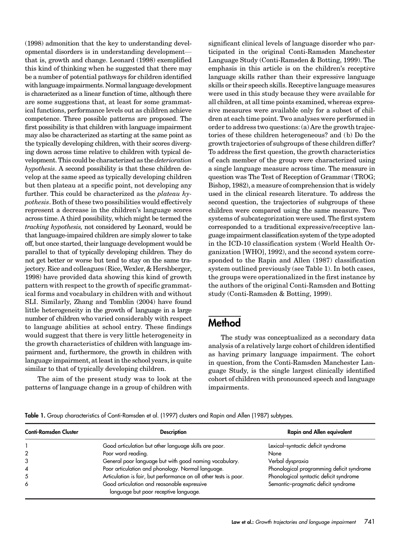(1998) admonition that the key to understanding developmental disorders is in understanding development that is, growth and change. Leonard (1998) exemplified this kind of thinking when he suggested that there may be a number of potential pathways for children identified with language impairments. Normal language development is characterized as a linear function of time, although there are some suggestions that, at least for some grammatical functions, performance levels out as children achieve competence. Three possible patterns are proposed. The first possibility is that children with language impairment may also be characterized as starting at the same point as the typically developing children, with their scores diverging down across time relative to children with typical development. This could be characterized as the deterioration hypothesis. A second possibility is that these children develop at the same speed as typically developing children but then plateau at a specific point, not developing any further. This could be characterized as the plateau hypothesis. Both of these two possibilities would effectively represent a decrease in the children's language scores across time. A third possibility, which might be termed the tracking hypothesis, not considered by Leonard, would be that language-impaired children are simply slower to take off, but once started, their language development would be parallel to that of typically developing children. They do not get better or worse but tend to stay on the same trajectory. Rice and colleagues (Rice, Wexler, & Hershberger, 1998) have provided data showing this kind of growth pattern with respect to the growth of specific grammatical forms and vocabulary in children with and without SLI. Similarly, Zhang and Tomblin (2004) have found little heterogeneity in the growth of language in a large number of children who varied considerably with respect to language abilities at school entry. These findings would suggest that there is very little heterogeneity in the growth characteristics of children with language impairment and, furthermore, the growth in children with language impairment, at least in the school years, is quite similar to that of typically developing children.

The aim of the present study was to look at the patterns of language change in a group of children with significant clinical levels of language disorder who participated in the original Conti-Ramsden Manchester Language Study (Conti-Ramsden & Botting, 1999). The emphasis in this article is on the children's receptive language skills rather than their expressive language skills or their speech skills. Receptive language measures were used in this study because they were available for all children, at all time points examined, whereas expressive measures were available only for a subset of children at each time point. Two analyses were performed in order to address two questions: (a) Are the growth trajectories of these children heterogeneous? and (b) Do the growth trajectories of subgroups of these children differ? To address the first question, the growth characteristics of each member of the group were characterized using a single language measure across time. The measure in question was The Test of Reception of Grammar (TROG; Bishop, 1982), a measure of comprehension that is widely used in the clinical research literature. To address the second question, the trajectories of subgroups of these children were compared using the same measure. Two systems of subcategorization were used. The first system corresponded to a traditional expressive/receptive language impairment classification system of the type adopted in the ICD-10 classification system (World Health Organization [WHO], 1992), and the second system corresponded to the Rapin and Allen (1987) classification system outlined previously (see Table 1). In both cases, the groups were operationalized in the first instance by the authors of the original Conti-Ramsden and Botting study (Conti-Ramsden & Botting, 1999).

## **Method**

The study was conceptualized as a secondary data analysis of a relatively large cohort of children identified as having primary language impairment. The cohort in question, from the Conti-Ramsden Manchester Language Study, is the single largest clinically identified cohort of children with pronounced speech and language impairments.

Table 1. Group characteristics of Conti-Ramsden et al. (1997) clusters and Rapin and Allen (1987) subtypes.

| <b>Conti-Ramsden Cluster</b> | <b>Description</b>                                                                   | <b>Rapin and Allen equivalent</b>         |
|------------------------------|--------------------------------------------------------------------------------------|-------------------------------------------|
|                              | Good articulation but other language skills are poor.                                | Lexical-syntactic deficit syndrome        |
|                              | Poor word reading.                                                                   | None                                      |
|                              | General poor language but with good naming vocabulary.                               | Verbal dyspraxia                          |
|                              | Poor articulation and phonology. Normal language.                                    | Phonological programming deficit syndrome |
|                              | Articulation is fair, but performance on all other tests is poor.                    | Phonological syntactic deficit syndrome   |
| 6                            | Good articulation and reasonable expressive<br>language but poor receptive language. | Semantic-pragmatic deficit syndrome       |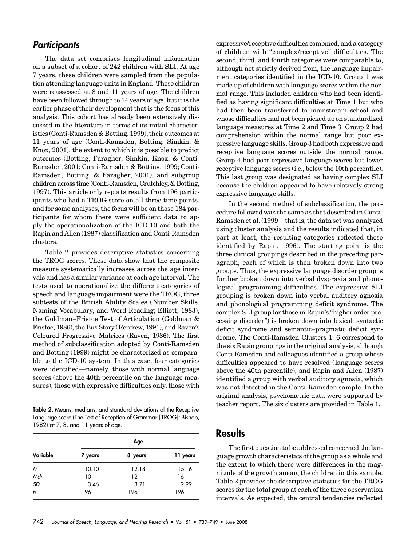#### **Participants**

The data set comprises longitudinal information on a subset of a cohort of 242 children with SLI. At age 7 years, these children were sampled from the population attending language units in England. These children were reassessed at 8 and 11 years of age. The children have been followed through to 14 years of age, but it is the earlier phase of their development that is the focus of this analysis. This cohort has already been extensively discussed in the literature in terms of its initial characteristics (Conti-Ramsden & Botting, 1999), their outcomes at 11 years of age (Conti-Ramsden, Botting, Simkin, & Knox, 2001), the extent to which it is possible to predict outcomes (Botting, Faragher, Simkin, Knox, & Conti-Ramsden, 2001; Conti-Ramsden & Botting, 1999; Conti-Ramsden, Botting, & Faragher, 2001), and subgroup children across time (Conti-Ramsden, Crutchley, & Botting, 1997). This article only reports results from 196 participants who had a TROG score on all three time points, and for some analyses, the focus will be on those 184 participants for whom there were sufficient data to apply the operationalization of the ICD-10 and both the Rapin and Allen (1987) classification and Conti-Ramsden clusters.

Table 2 provides descriptive statistics concerning the TROG scores. These data show that the composite measure systematically increases across the age intervals and has a similar variance at each age interval. The tests used to operationalize the different categories of speech and language impairment were the TROG, three subtests of the British Ability Scales (Number Skills, Naming Vocabulary, and Word Reading; Elliott, 1983), the Goldman–Fristoe Test of Articulation (Goldman & Fristoe, 1986), the Bus Story (Renfrew, 1991), and Raven's Coloured Progressive Matrices (Raven, 1986). The first method of subclassification adopted by Conti-Ramsden and Botting (1999) might be characterized as comparable to the ICD-10 system. In this case, four categories were identified—namely, those with normal language scores (above the 40th percentile on the language measures), those with expressive difficulties only, those with

Table 2. Means, medians, and standard deviations of the Receptive Language score (The Test of Reception of Grammar [ TROG]; Bishop, 1982) at 7, 8, and 11 years of age.

| Variable  | Age     |         |          |
|-----------|---------|---------|----------|
|           | 7 years | 8 years | 11 years |
| M         | 10.10   | 12.18   | 15.16    |
| Mdn       | 10      | $12 \,$ | 16       |
| <b>SD</b> | 3.46    | 3.21    | 2.99     |
| n         | 196     | 196     | 196      |

expressive/receptive difficulties combined, and a category of children with "complex/receptive" difficulties. The second, third, and fourth categories were comparable to, although not strictly derived from, the language impairment categories identified in the ICD-10. Group 1 was made up of children with language scores within the normal range. This included children who had been identified as having significant difficulties at Time 1 but who had then been transferred to mainstream school and whose difficulties had not been picked up on standardized language measures at Time 2 and Time 3. Group 2 had comprehension within the normal range but poor expressive language skills. Group 3 had both expressive and receptive language scores outside the normal range. Group 4 had poor expressive language scores but lower receptive language scores (i.e., below the 10th percentile). This last group was designated as having complex SLI because the children appeared to have relatively strong expressive language skills.

In the second method of subclassification, the procedure followed was the same as that described in Conti-Ramsden et al. (1999—that is, the data set was analyzed using cluster analysis and the results indicated that, in part at least, the resulting categories reflected those identified by Rapin, 1996). The starting point is the three clinical groupings described in the preceding paragraph, each of which is then broken down into two groups. Thus, the expressive language disorder group is further broken down into verbal dyspraxia and phonological programming difficulties. The expressive SLI grouping is broken down into verbal auditory agnosia and phonological programming deficit syndrome. The complex SLI group (or those in Rapin's "higher order processing disorder") is broken down into lexical–syntactic deficit syndrome and semantic–pragmatic deficit syndrome. The Conti-Ramsden Clusters 1–6 correspond to the six Rapin groupings in the original analysis, although Conti-Ramsden and colleagues identified a group whose difficulties appeared to have resolved ( language scores above the 40th percentile), and Rapin and Allen (1987) identified a group with verbal auditory agnosia, which was not detected in the Conti-Ramsden sample. In the original analysis, psychometric data were supported by teacher report. The six clusters are provided in Table 1.

### **Results**

The first question to be addressed concerned the language growth characteristics of the group as a whole and the extent to which there were differences in the magnitude of the growth among the children in this sample. Table 2 provides the descriptive statistics for the TROG scores for the total group at each of the three observation intervals. As expected, the central tendencies reflected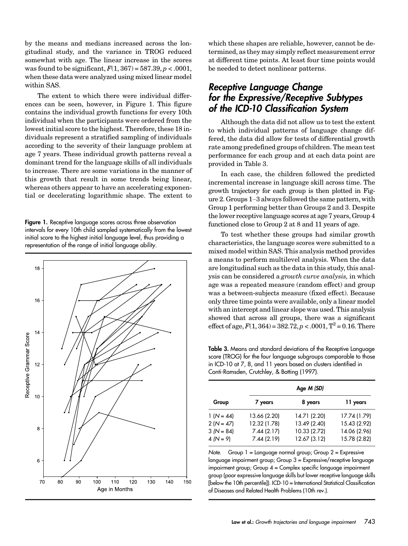by the means and medians increased across the longitudinal study, and the variance in TROG reduced somewhat with age. The linear increase in the scores was found to be significant,  $F(1, 367) = 587.39, p < .0001$ , when these data were analyzed using mixed linear model within SAS.

The extent to which there were individual differences can be seen, however, in Figure 1. This figure contains the individual growth functions for every 10th individual when the participants were ordered from the lowest initial score to the highest. Therefore, these 18 individuals represent a stratified sampling of individuals according to the severity of their language problem at age 7 years. These individual growth patterns reveal a dominant trend for the language skills of all individuals to increase. There are some variations in the manner of this growth that result in some trends being linear, whereas others appear to have an accelerating exponential or decelerating logarithmic shape. The extent to

Figure 1. Receptive language scores across three observation intervals for every 10th child sampled systematically from the lowest initial score to the highest initial language level, thus providing a representation of the range of initial language ability.



which these shapes are reliable, however, cannot be determined, as they may simply reflect measurement error at different time points. At least four time points would be needed to detect nonlinear patterns.

#### Receptive Language Change for the Expressive/Receptive Subtypes of the ICD-10 Classification System

Although the data did not allow us to test the extent to which individual patterns of language change differed, the data did allow for tests of differential growth rate among predefined groups of children. The mean test performance for each group and at each data point are provided in Table 3.

In each case, the children followed the predicted incremental increase in language skill across time. The growth trajectory for each group is then plotted in Figure 2. Groups 1–3 always followed the same pattern, with Group 1 performing better than Groups 2 and 3. Despite the lower receptive language scores at age 7 years, Group 4 functioned close to Group 2 at 8 and 11 years of age.

To test whether these groups had similar growth characteristics, the language scores were submitted to a mixed model within SAS. This analysis method provides a means to perform multilevel analysis. When the data are longitudinal such as the data in this study, this analysis can be considered a growth curve analysis, in which age was a repeated measure (random effect) and group was a between-subjects measure (fixed effect). Because only three time points were available, only a linear model with an intercept and linear slope was used. This analysis showed that across all groups, there was a significant effect of age,  $F(1, 364) = 382.72$ ,  $p < .0001$ ,  $T^2 = 0.16$ . There

Table 3. Means and standard deviations of the Receptive Language score (TROG) for the four language subgroups comparable to those in ICD-10 at 7, 8, and 11 years based on clusters identified in Conti-Ramsden, Crutchley, & Botting (1997).

| Age <i>M (SD)</i>                                         |                                                          |                                                              |                                                              |
|-----------------------------------------------------------|----------------------------------------------------------|--------------------------------------------------------------|--------------------------------------------------------------|
| Group                                                     | 7 years                                                  | 8 years                                                      | 11 years                                                     |
| $1 (N = 44)$<br>$2(N = 47)$<br>$3(N = 84)$<br>$4 (N = 9)$ | 13.66 (2.20)<br>12.32 (1.78)<br>7.44(2.17)<br>7.44(2.19) | 14.71 (2.20)<br>13.49 (2.40)<br>10.33 (2.72)<br>12.67 (3.12) | 17.74 (1.79)<br>15.43 (2.92)<br>14.06 (2.96)<br>15.78 (2.82) |

Note. Group  $1 =$  Language normal group; Group  $2 =$  Expressive language impairment group; Group 3 = Expressive/receptive language impairment group; Group 4 = Complex specific language impairment group (poor expressive language skills but lower receptive language skills [below the 10th percentile]). ICD-10 = International Statistical Classification of Diseases and Related Health Problems (10th rev.).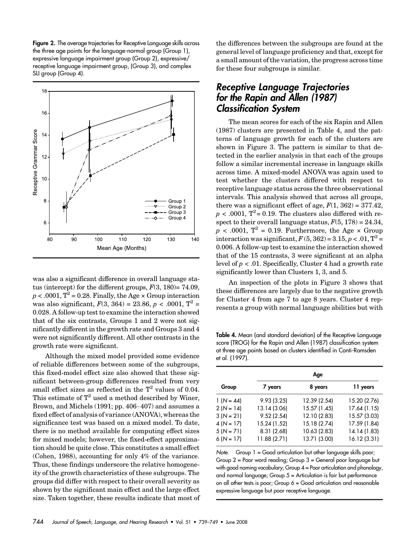Figure 2. The average trajectories for Receptive Language skills across the three age points for the language-normal group (Group 1), expressive language impairment group (Group 2), expressive/ receptive language impairment group, (Group 3), and complex SLI group (Group 4).



was also a significant difference in overall language status (intercept) for the different groups,  $F(3, 180) = 74.09$ ,  $p < .0001$ ,  $T^2 = 0.28$ . Finally, the Age  $\times$  Group interaction was also significant,  $F(3, 364) = 23.86, p < .0001, T^2 =$ 0.028. A follow-up test to examine the interaction showed that of the six contrasts, Groups 1 and 2 were not significantly different in the growth rate and Groups 3 and 4 were not significantly different. All other contrasts in the growth rate were significant.

Although the mixed model provided some evidence of reliable differences between some of the subgroups, this fixed-model effect size also showed that these significant between-group differences resulted from very small effect sizes as reflected in the  $T^2$  values of 0.04. This estimate of  $T^2$  used a method described by Winer, Brown, and Michels (1991; pp. 406–407) and assumes a fixed effect of analysis of variance (ANOVA), whereas the significance test was based on a mixed model. To date, there is no method available for computing effect sizes for mixed models; however, the fixed-effect approximation should be quite close. This constitutes a small effect (Cohen, 1988), accounting for only 4% of the variance. Thus, these findings underscore the relative homogeneity of the growth characteristics of these subgroups. The groups did differ with respect to their overall severity as shown by the significant main effect and the large effect size. Taken together, these results indicate that most of the differences between the subgroups are found at the general level of language proficiency and that, except for a small amount of the variation, the progress across time for these four subgroups is similar.

#### Receptive Language Trajectories for the Rapin and Allen (1987) Classification System

The mean scores for each of the six Rapin and Allen (1987) clusters are presented in Table 4, and the patterns of language growth for each of the clusters are shown in Figure 3. The pattern is similar to that detected in the earlier analysis in that each of the groups follow a similar incremental increase in language skills across time. A mixed-model ANOVA was again used to test whether the clusters differed with respect to receptive language status across the three observational intervals. This analysis showed that across all groups, there was a significant effect of age,  $F(1, 362) = 377.42$ ,  $p < .0001$ , T<sup>2</sup> = 0.19. The clusters also differed with respect to their overall language status,  $F(5, 178) = 24.34$ ,  $p < .0001$ ,  $T^2 = 0.19$ . Furthermore, the Age  $\times$  Group interaction was significant,  $F(5, 362) = 3.15$ ,  $p < .01$ ,  $T^2 =$ 0.006. A follow-up test to examine the interaction showed that of the 15 contrasts, 3 were significant at an alpha level of  $p < 0.01$ . Specifically, Cluster 4 had a growth rate significantly lower than Clusters 1, 3, and 5.

An inspection of the plots in Figure 3 shows that these differences are largely due to the negative growth for Cluster 4 from age 7 to age 8 years. Cluster 4 represents a group with normal language abilities but with

Table 4. Mean (and standard deviation) of the Receptive Language score (TROG) for the Rapin and Allen (1987) classification system at three age points based on clusters identified in Conti-Ramsden et al. (1997).

|              | Age          |              |              |
|--------------|--------------|--------------|--------------|
| Group        | 7 years      | 8 years      | 11 years     |
| $1 (N = 44)$ | 9.93(3.25)   | 12.39 (2.54) | 15.20 (2.76) |
| $2(N = 14)$  | 13.14 (3.06) | 15.57 (1.45) | 17.64 (1.15) |
| $3(N = 21)$  | 9.52(2.54)   | 12.10 (2.83) | 15.57 (3.03) |
| $4(N = 17)$  | 15.24 (1.52) | 15.18 (2.74) | 17.59 (1.84) |
| $5(N = 71)$  | 8.31 (2.68)  | 10.63 (2.83) | 14.14 (1.83) |
| $6 (N = 17)$ | 11.88 (2.71) | 13.71 (3.00) | 16.12 (3.31) |

Note. Group  $1 = Good$  articulation but other language skills poor; Group 2 = Poor word reading; Group 3 = General poor language but with good naming vocabulary; Group  $4 =$  Poor articulation and phonology, and normal language; Group 5 = Articulation is fair but performance on all other tests is poor; Group 6 = Good articulation and reasonable expressive language but poor receptive language.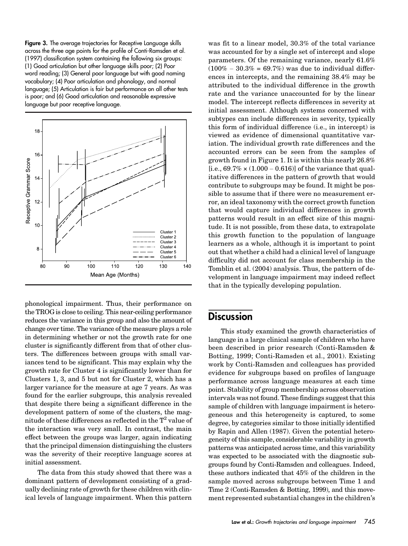Figure 3. The average trajectories for Receptive Language skills across the three age points for the profile of Conti-Ramsden et al. (1997) classification system containing the following six groups: (1) Good articulation but other language skills poor; (2) Poor word reading; (3) General poor language but with good naming vocabulary; (4) Poor articulation and phonology, and normal language; (5) Articulation is fair but performance on all other tests is poor; and (6) Good articulation and reasonable expressive language but poor receptive language.



phonological impairment. Thus, their performance on the TROG is close to ceiling. This near-ceiling performance reduces the variance in this group and also the amount of change over time. The variance of the measure plays a role in determining whether or not the growth rate for one cluster is significantly different from that of other clusters. The differences between groups with small variances tend to be significant. This may explain why the growth rate for Cluster 4 is significantly lower than for Clusters 1, 3, and 5 but not for Cluster 2, which has a larger variance for the measure at age 7 years. As was found for the earlier subgroups, this analysis revealed that despite there being a significant difference in the development pattern of some of the clusters, the magnitude of these differences as reflected in the  $T^2$  value of the interaction was very small. In contrast, the main effect between the groups was larger, again indicating that the principal dimension distinguishing the clusters was the severity of their receptive language scores at initial assessment.

The data from this study showed that there was a dominant pattern of development consisting of a gradually declining rate of growth for these children with clinical levels of language impairment. When this pattern was fit to a linear model, 30.3% of the total variance was accounted for by a single set of intercept and slope parameters. Of the remaining variance, nearly 61.6%  $(100\% - 30.3\% = 69.7\%)$  was due to individual differences in intercepts, and the remaining 38.4% may be attributed to the individual difference in the growth rate and the variance unaccounted for by the linear model. The intercept reflects differences in severity at initial assessment. Although systems concerned with subtypes can include differences in severity, typically this form of individual difference (i.e., in intercept) is viewed as evidence of dimensional quantitative variation. The individual growth rate differences and the accounted errors can be seen from the samples of growth found in Figure 1. It is within this nearly 26.8% [i.e.,  $69.7\% \times (1.000 - 0.616)$ ] of the variance that qualitative differences in the pattern of growth that would contribute to subgroups may be found. It might be possible to assume that if there were no measurement error, an ideal taxonomy with the correct growth function that would capture individual differences in growth patterns would result in an effect size of this magnitude. It is not possible, from these data, to extrapolate this growth function to the population of language learners as a whole, although it is important to point out that whether a child had a clinical level of language difficulty did not account for class membership in the Tomblin et al. (2004) analysis. Thus, the pattern of development in language impairment may indeed reflect that in the typically developing population.

#### **Discussion**

This study examined the growth characteristics of language in a large clinical sample of children who have been described in prior research (Conti-Ramsden & Botting, 1999; Conti-Ramsden et al., 2001). Existing work by Conti-Ramsden and colleagues has provided evidence for subgroups based on profiles of language performance across language measures at each time point. Stability of group membership across observation intervals was not found. These findings suggest that this sample of children with language impairment is heterogeneous and this heterogeneity is captured, to some degree, by categories similar to those initially identified by Rapin and Allen (1987). Given the potential heterogeneity of this sample, considerable variability in growth patterns was anticipated across time, and this variability was expected to be associated with the diagnostic subgroups found by Conti-Ramsden and colleagues. Indeed, these authors indicated that 45% of the children in the sample moved across subgroups between Time 1 and Time 2 (Conti-Ramsden & Botting, 1999), and this movement represented substantial changes in the children's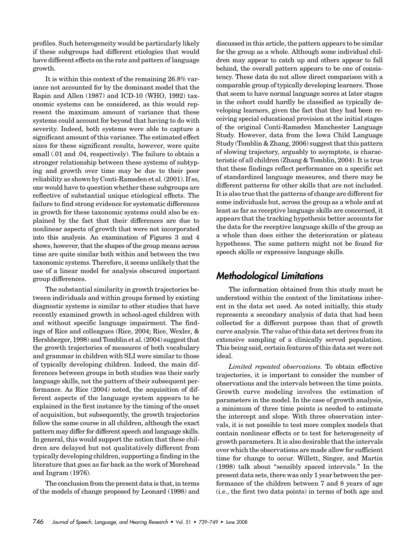profiles. Such heterogeneity would be particularly likely if these subgroups had different etiologies that would have different effects on the rate and pattern of language growth.

It is within this context of the remaining 26.8% variance not accounted for by the dominant model that the Rapin and Allen (1987) and ICD-10 (WHO, 1992) taxonomic systems can be considered, as this would represent the maximum amount of variance that these systems could account for beyond that having to do with severity. Indeed, both systems were able to capture a significant amount of this variance. The estimated effect sizes for these significant results, however, were quite small (.01 and .04, respectively). The failure to obtain a stronger relationship between these systems of subtyping and growth over time may be due to their poor reliability as shown by Conti-Ramsden et al. (2001). If so, one would have to question whether these subgroups are reflective of substantial unique etiological effects. The failure to find strong evidence for systematic differences in growth for these taxonomic systems could also be explained by the fact that their differences are due to nonlinear aspects of growth that were not incorporated into this analysis. An examination of Figures 3 and 4 shows, however, that the shapes of the group means across time are quite similar both within and between the two taxonomic systems. Therefore, it seems unlikely that the use of a linear model for analysis obscured important group differences.

The substantial similarity in growth trajectories between individuals and within groups formed by existing diagnostic systems is similar to other studies that have recently examined growth in school-aged children with and without specific language impairment. The findings of Rice and colleagues (Rice, 2004; Rice, Wexler, & Hershberger, 1998) and Tomblin et al. (2004) suggest that the growth trajectories of measures of both vocabulary and grammar in children with SLI were similar to those of typically developing children. Indeed, the main differences between groups in both studies was their early language skills, not the pattern of their subsequent performance. As Rice (2004) noted, the acquisition of different aspects of the language system appears to be explained in the first instance by the timing of the onset of acquisition, but subsequently, the growth trajectories follow the same course in all children, although the exact pattern may differ for different speech and language skills. In general, this would support the notion that these children are delayed but not qualitatively different from typically developing children, supporting a finding in the literature that goes as far back as the work of Morehead and Ingram (1976).

The conclusion from the present data is that, in terms of the models of change proposed by Leonard (1998) and discussed in this article, the pattern appears to be similar for the group as a whole. Although some individual children may appear to catch up and others appear to fall behind, the overall pattern appears to be one of consistency. These data do not allow direct comparison with a comparable group of typically developing learners. Those that seem to have normal language scores at later stages in the cohort could hardly be classified as typically developing learners, given the fact that they had been receiving special educational provision at the initial stages of the original Conti-Ramsden Manchester Language Study. However, data from the Iowa Child Language Study (Tomblin & Zhang, 2006) suggest that this pattern of slowing trajectory, arguably to asymptote, is characteristic of all children (Zhang & Tomblin, 2004). It is true that these findings reflect performance on a specific set of standardized language measures, and there may be different patterns for other skills that are not included. It is also true that the patterns of change are different for some individuals but, across the group as a whole and at least as far as receptive language skills are concerned, it appears that the tracking hypothesis better accounts for the data for the receptive language skills of the group as a whole than does either the deterioration or plateau hypotheses. The same pattern might not be found for speech skills or expressive language skills.

#### Methodological Limitations

The information obtained from this study must be understood within the context of the limitations inherent in the data set used. As noted initially, this study represents a secondary analysis of data that had been collected for a different purpose than that of growth curve analysis. The value of this data set derives from its extensive sampling of a clinically served population. This being said, certain features of this data set were not ideal.

Limited repeated observations. To obtain effective trajectories, it is important to consider the number of observations and the intervals between the time points. Growth curve modeling involves the estimation of parameters in the model. In the case of growth analysis, a minimum of three time points is needed to estimate the intercept and slope. With three observation intervals, it is not possible to test more complex models that contain nonlinear effects or to test for heterogeneity of growth parameters. It is also desirable that the intervals over which the observations are made allow for sufficient time for change to occur. Willett, Singer, and Martin (1998) talk about "sensibly spaced intervals." In the present data sets, there was only 1 year between the performance of the children between 7 and 8 years of age (i.e., the first two data points) in terms of both age and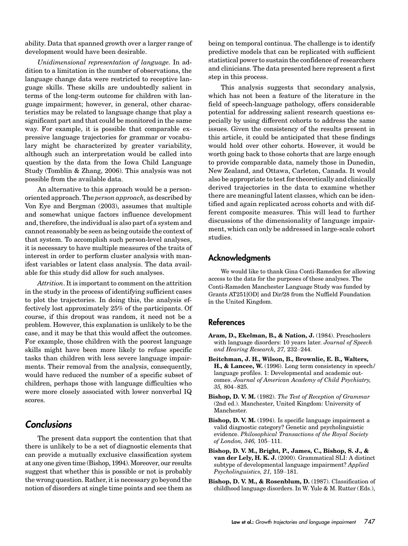ability. Data that spanned growth over a larger range of development would have been desirable.

Unidimensional representation of language. In addition to a limitation in the number of observations, the language change data were restricted to receptive language skills. These skills are undoubtedly salient in terms of the long-term outcome for children with language impairment; however, in general, other characteristics may be related to language change that play a significant part and that could be monitored in the same way. For example, it is possible that comparable expressive language trajectories for grammar or vocabulary might be characterized by greater variability, although such an interpretation would be called into question by the data from the Iowa Child Language Study (Tomblin & Zhang, 2006). This analysis was not possible from the available data.

An alternative to this approach would be a personoriented approach. The person approach, as described by Von Eye and Bergman (2003), assumes that multiple and somewhat unique factors influence development and, therefore, the individual is also part of a system and cannot reasonably be seen as being outside the context of that system. To accomplish such person-level analyses, it is necessary to have multiple measures of the traits of interest in order to perform cluster analysis with manifest variables or latent class analysis. The data available for this study did allow for such analyses.

Attrition. It is important to comment on the attrition in the study in the process of identifying sufficient cases to plot the trajectories. In doing this, the analysis effectively lost approximately 25% of the participants. Of course, if this dropout was random, it need not be a problem. However, this explanation is unlikely to be the case, and it may be that this would affect the outcomes. For example, those children with the poorest language skills might have been more likely to refuse specific tasks than children with less severe language impairments. Their removal from the analysis, consequently, would have reduced the number of a specific subset of children, perhaps those with language difficulties who were more closely associated with lower nonverbal IQ scores.

#### **Conclusions**

The present data support the contention that that there is unlikely to be a set of diagnostic elements that can provide a mutually exclusive classification system at any one given time (Bishop, 1994). Moreover, our results suggest that whether this is possible or not is probably the wrong question. Rather, it is necessary go beyond the notion of disorders at single time points and see them as

being on temporal continua. The challenge is to identify predictive models that can be replicated with sufficient statistical power to sustain the confidence of researchers and clinicians. The data presented here represent a first step in this process.

This analysis suggests that secondary analysis, which has not been a feature of the literature in the field of speech-language pathology, offers considerable potential for addressing salient research questions especially by using different cohorts to address the same issues. Given the consistency of the results present in this article, it could be anticipated that these findings would hold over other cohorts. However, it would be worth going back to those cohorts that are large enough to provide comparable data, namely those in Dunedin, New Zealand, and Ottawa, Carleton, Canada. It would also be appropriate to test for theoretically and clinically derived trajectories in the data to examine whether there are meaningful latent classes, which can be identified and again replicated across cohorts and with different composite measures. This will lead to further discussions of the dimensionality of language impairment, which can only be addressed in large-scale cohort studies.

#### Acknowledgments

We would like to thank Gina Conti-Ramsden for allowing access to the data for the purposes of these analyses. The Conti-Ramsden Manchester Language Study was funded by Grants AT251[OD] and Dir/28 from the Nuffield Foundation in the United Kingdom.

#### References

- Aram, D., Ekelman, B., & Nation, J. (1984). Preschoolers with language disorders: 10 years later. Journal of Speech and Hearing Research, 27, 232–244.
- Beitchman, J. H., Wilson, B., Brownlie, E. B., Walters, H., & Lancee, W. (1996). Long term consistency in speech/ language profiles. 1: Developmental and academic outcomes. Journal of American Academy of Child Psychiatry, 35, 804–825.
- Bishop, D. V. M. (1982). The Test of Reception of Grammar (2nd ed.). Manchester, United Kingdom: University of Manchester.
- Bishop, D. V. M. (1994). Is specific language impairment a valid diagnostic category? Genetic and psycholinguistic evidence. Philosophical Transactions of the Royal Society of London, 346, 105–111.
- Bishop, D. V. M., Bright, P., James, C., Bishop, S. J., & van der Lely, H. K. J. (2000). Grammatical SLI: A distinct subtype of developmental language impairment? Applied Psycholinguistics, 21, 159–181.
- Bishop, D. V. M., & Rosenblum, D. (1987). Classification of childhood language disorders. In W. Yule & M. Rutter ( Eds.),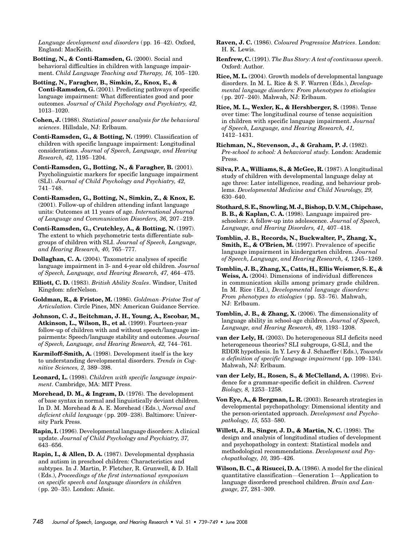Language development and disorders ( pp. 16–42). Oxford, England: MacKeith.

Botting, N., & Conti-Ramsden, G. (2000). Social and behavioral difficulties in children with language impairment. Child Language Teaching and Therapy, 16, 105–120.

Botting, N., Faragher, B., Simkin, Z., Knox, E., & Conti-Ramsden, G. (2001). Predicting pathways of specific language impairment: What differentiates good and poor outcomes. Journal of Child Psychology and Psychiatry, 42, 1013–1020.

Cohen, J. (1988). Statistical power analysis for the behavioral sciences. Hillsdale, NJ: Erlbaum.

Conti-Ramsden, G., & Botting, N. (1999). Classification of children with specific language impairment: Longitudinal considerations. Journal of Speech, Language, and Hearing Research, 42, 1195–1204.

Conti-Ramsden, G., Botting, N., & Faragher, B. (2001). Psycholinguistic markers for specific language impairment (SLI). Journal of Child Psychology and Psychiatry, 42, 741–748.

Conti-Ramsden, G., Botting, N., Simkin, Z., & Knox, E. (2001). Follow-up of children attending infant language units: Outcomes at 11 years of age. International Journal of Language and Communication Disorders, 36, 207–219.

Conti-Ramsden, G., Crutchley, A., & Botting, N. (1997). The extent to which psychometric tests differentiate subgroups of children with SLI. Journal of Speech, Language, and Hearing Research, 40, 765–777.

Dollaghan, C. A. (2004). Taxometric analyses of specific language impairment in 3- and 4-year old children. Journal of Speech, Language, and Hearing Research, 47, 464–475.

Elliott, C. D. (1983). British Ability Scales. Windsor, United Kingdom: nferNelson.

Goldman, R., & Fristoe, M. (1986). Goldman–Fristoe Test of Articulation. Circle Pines, MN: American Guidance Service.

Johnson, C. J., Beitchman, J. H., Young, A., Escobar, M., Atkinson, L., Wilson, B., et al. (1999). Fourteen-year follow-up of children with and without speech/language impairments: Speech/language stability and outcomes. Journal of Speech, Language, and Hearing Research, 42, 744–761.

Karmiloff-Smith, A. (1998). Development itself is the key to understanding developmental disorders. Trends in Cognitive Sciences, 2, 389–398.

Leonard, L. (1998). Children with specific language impairment. Cambridge, MA: MIT Press.

Morehead, D. M., & Ingram, D. (1976). The development of base syntax in normal and linguistically deviant children. In D. M. Morehead & A. E. Morehead (Eds.), Normal and deficient child language ( pp. 209–238). Baltimore: University Park Press.

Rapin, I. (1996). Developmental language disorders: A clinical update. Journal of Child Psychology and Psychiatry, 37, 643–656.

Rapin, I., & Allen, D. A. (1987). Developmental dysphasia and autism in preschool children: Characteristics and subtypes. In J. Martin, P. Fletcher, R. Grunwell, & D. Hall ( Eds.), Proceedings of the first international symposium on specific speech and language disorders in children ( pp. 20–35). London: Afasic.

Raven, J. C. (1986). Coloured Progressive Matrices. London: H. K. Lewis.

Renfrew, C. (1991). The Bus Story: A test of continuous speech. Oxford: Author.

Rice, M. L. (2004). Growth models of developmental language disorders. In M. L. Rice & S. F. Warren (Eds.), Developmental language disorders: From phenotypes to etiologies ( pp. 207–240). Mahwah, NJ: Erlbaum.

Rice, M. L., Wexler, K., & Hershberger, S. (1998). Tense over time: The longitudinal course of tense acquisition in children with specific language impairment. Journal of Speech, Language, and Hearing Research, 41, 1412–1431.

Richman, N., Stevenson, J., & Graham, P. J. (1982). Pre-school to school: A behavioral study. London: Academic Press.

Silva, P. A., Williams, S., & McGee, R. (1987). A longitudinal study of children with developmental language delay at age three: Later intelligence, reading, and behaviour problems. Developmental Medicine and Child Neurology, 29, 630–640.

Stothard, S. E., Snowling,M. J., Bishop, D. V.M., Chipchase, B. B., & Kaplan, C. A. (1998). Language impaired preschoolers: A follow-up into adolescence. Journal of Speech, Language, and Hearing Disorders, 41, 407–418.

Tomblin, J. B., Records, N., Buckwalter, P., Zhang, X., Smith, E., & O'Brien, M. (1997). Prevalence of specific language impairment in kindergarten children. Journal of Speech, Language, and Hearing Research, 4, 1245–1269.

Tomblin, J. B., Zhang, X., Catts, H., Ellis Weismer, S. E., & Weiss, A. (2004). Dimensions of individual differences in communication skills among primary grade children. In M. Rice (Ed.), Developmental language disorders: From phenotypes to etiologies ( pp. 53–76). Mahwah, NJ: Erlbaum.

Tomblin, J. B., & Zhang, X. (2006). The dimensionality of language ability in school-age children. Journal of Speech, Language, and Hearing Research, 49, 1193–1208.

van der Lely, H. (2003). Do heterogeneous SLI deficits need heterogeneous theories? SLI subgroups, G-SLI, and the RDDR hypothesis. In Y. Levy & J. Schaeffer ( Eds.), Towards a definition of specific language impairment ( pp. 109–134). Mahwah, NJ: Erlbaum.

van der Lely, H., Rosen, S., & McClelland, A. (1998). Evidence for a grammar-specific deficit in children. Current Biology, 8, 1253–1258.

Von Eye, A., & Bergman, L. R. (2003). Research strategies in developmental psychopathology: Dimensional identity and the person-orientated approach. Development and Psychopathology, 15, 553–580.

Willett, J. B., Singer, J. D., & Martin, N. C. (1998). The design and analysis of longitudinal studies of development and psychopathology in context: Statistical models and methodological recommendations. Development and Psychopathology, 10, 395–426.

Wilson, B. C., & Risucci, D. A. (1986). A model for the clinical quantitative classification—Generation 1—Application to language disordered preschool children. Brain and Language, 27, 281–309.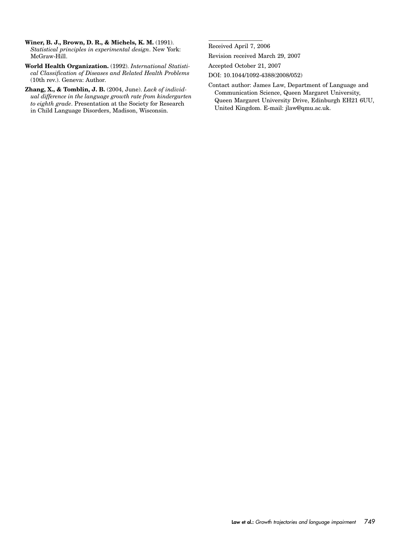- Winer, B. J., Brown, D. R., & Michels, K. M. (1991). Statistical principles in experimental design. New York: McGraw-Hill.
- World Health Organization. (1992). International Statistical Classification of Diseases and Related Health Problems (10th rev.). Geneva: Author.
- Zhang, X., & Tomblin, J. B. (2004, June). Lack of individual difference in the language growth rate from kindergarten to eighth grade. Presentation at the Society for Research in Child Language Disorders, Madison, Wisconsin.

Received April 7, 2006

Revision received March 29, 2007

Accepted October 21, 2007

- DOI: 10.1044/1092-4388(2008/052)
- Contact author: James Law, Department of Language and Communication Science, Queen Margaret University, Queen Margaret University Drive, Edinburgh EH21 6UU, United Kingdom. E-mail: jlaw@qmu.ac.uk.